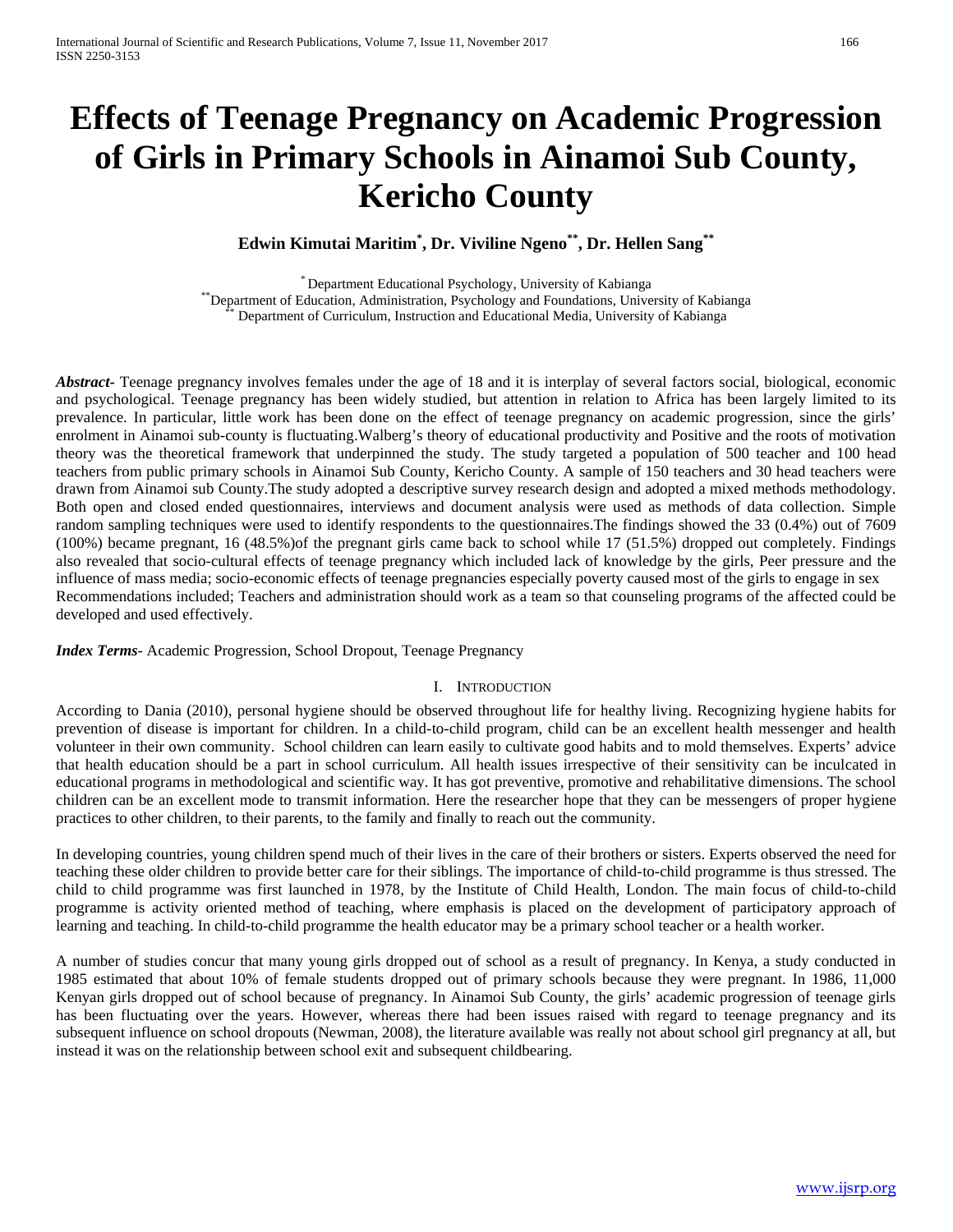# **Effects of Teenage Pregnancy on Academic Progression of Girls in Primary Schools in Ainamoi Sub County, Kericho County**

**Edwin Kimutai Maritim\* , Dr. Viviline Ngeno\*\*, Dr. Hellen Sang\*\***

\* Department Educational Psychology, University of Kabianga<br>\* Department of Education, Administration, Psychology and Foundations, University of Kabianga<br>\* Department of Curriculum, Instruction and Educational Media, Unive

*Abstract***-** Teenage pregnancy involves females under the age of 18 and it is interplay of several factors social, biological, economic and psychological. Teenage pregnancy has been widely studied, but attention in relation to Africa has been largely limited to its prevalence. In particular, little work has been done on the effect of teenage pregnancy on academic progression, since the girls' enrolment in Ainamoi sub-county is fluctuating.Walberg's theory of educational productivity and Positive and the roots of motivation theory was the theoretical framework that underpinned the study. The study targeted a population of 500 teacher and 100 head teachers from public primary schools in Ainamoi Sub County, Kericho County. A sample of 150 teachers and 30 head teachers were drawn from Ainamoi sub County.The study adopted a descriptive survey research design and adopted a mixed methods methodology. Both open and closed ended questionnaires, interviews and document analysis were used as methods of data collection. Simple random sampling techniques were used to identify respondents to the questionnaires.The findings showed the 33 (0.4%) out of 7609 (100%) became pregnant, 16 (48.5%)of the pregnant girls came back to school while 17 (51.5%) dropped out completely. Findings also revealed that socio-cultural effects of teenage pregnancy which included lack of knowledge by the girls, Peer pressure and the influence of mass media; socio-economic effects of teenage pregnancies especially poverty caused most of the girls to engage in sex Recommendations included; Teachers and administration should work as a team so that counseling programs of the affected could be developed and used effectively.

*Index Terms*- Academic Progression, School Dropout, Teenage Pregnancy

#### I. INTRODUCTION

According to Dania (2010), personal hygiene should be observed throughout life for healthy living. Recognizing hygiene habits for prevention of disease is important for children. In a child-to-child program, child can be an excellent health messenger and health volunteer in their own community. School children can learn easily to cultivate good habits and to mold themselves. Experts' advice that health education should be a part in school curriculum. All health issues irrespective of their sensitivity can be inculcated in educational programs in methodological and scientific way. It has got preventive, promotive and rehabilitative dimensions. The school children can be an excellent mode to transmit information. Here the researcher hope that they can be messengers of proper hygiene practices to other children, to their parents, to the family and finally to reach out the community.

In developing countries, young children spend much of their lives in the care of their brothers or sisters. Experts observed the need for teaching these older children to provide better care for their siblings. The importance of child-to-child programme is thus stressed. The child to child programme was first launched in 1978, by the Institute of Child Health, London. The main focus of child-to-child programme is activity oriented method of teaching, where emphasis is placed on the development of participatory approach of learning and teaching. In child-to-child programme the health educator may be a primary school teacher or a health worker.

A number of studies concur that many young girls dropped out of school as a result of pregnancy. In Kenya, a study conducted in 1985 estimated that about 10% of female students dropped out of primary schools because they were pregnant. In 1986, 11,000 Kenyan girls dropped out of school because of pregnancy. In Ainamoi Sub County, the girls' academic progression of teenage girls has been fluctuating over the years. However, whereas there had been issues raised with regard to teenage pregnancy and its subsequent influence on school dropouts (Newman, 2008), the literature available was really not about school girl pregnancy at all, but instead it was on the relationship between school exit and subsequent childbearing.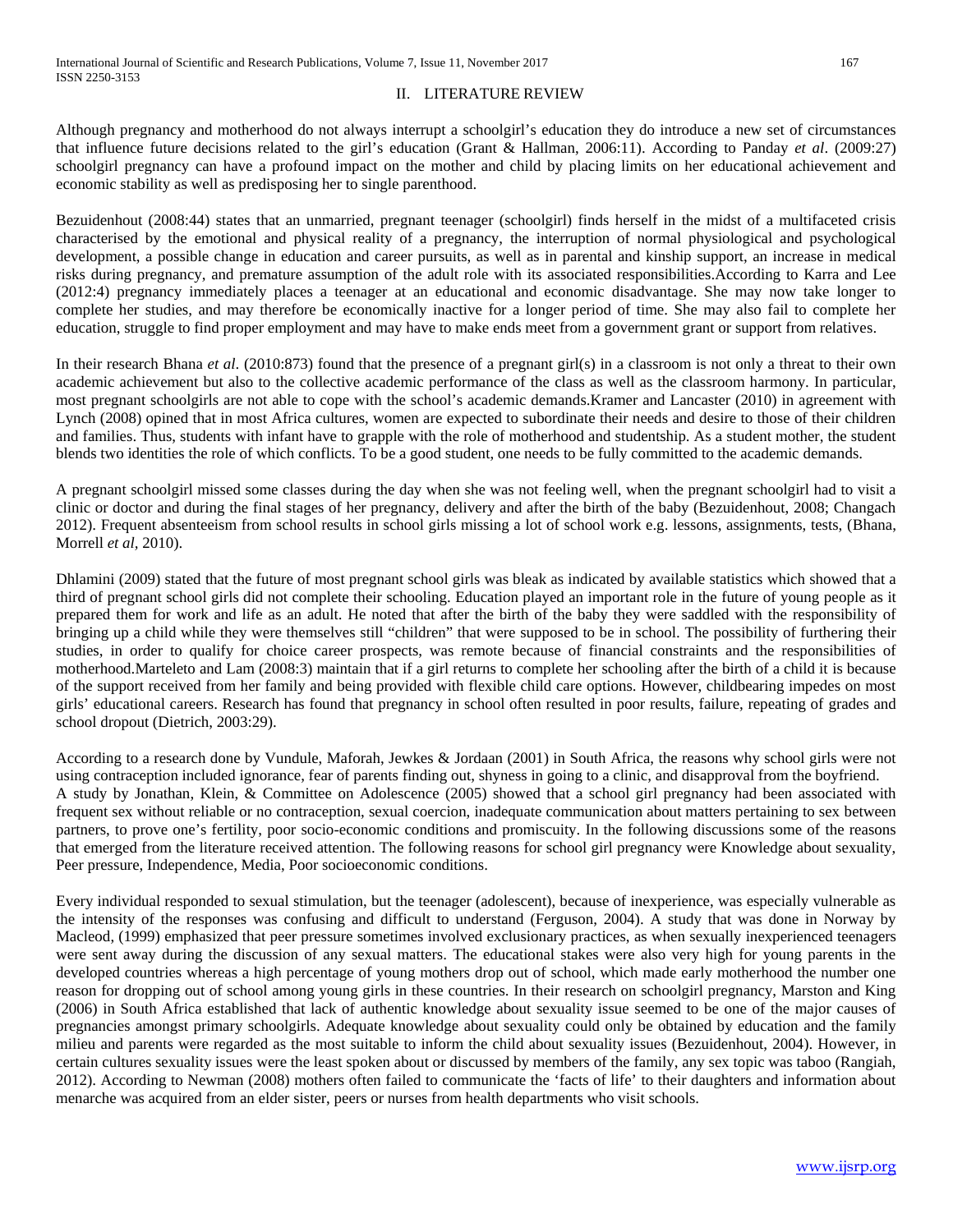### II. LITERATURE REVIEW

Although pregnancy and motherhood do not always interrupt a schoolgirl's education they do introduce a new set of circumstances that influence future decisions related to the girl's education (Grant & Hallman, 2006:11). According to Panday *et al*. (2009:27) schoolgirl pregnancy can have a profound impact on the mother and child by placing limits on her educational achievement and economic stability as well as predisposing her to single parenthood.

Bezuidenhout (2008:44) states that an unmarried, pregnant teenager (schoolgirl) finds herself in the midst of a multifaceted crisis characterised by the emotional and physical reality of a pregnancy, the interruption of normal physiological and psychological development, a possible change in education and career pursuits, as well as in parental and kinship support, an increase in medical risks during pregnancy, and premature assumption of the adult role with its associated responsibilities.According to Karra and Lee (2012:4) pregnancy immediately places a teenager at an educational and economic disadvantage. She may now take longer to complete her studies, and may therefore be economically inactive for a longer period of time. She may also fail to complete her education, struggle to find proper employment and may have to make ends meet from a government grant or support from relatives.

In their research Bhana *et al.* (2010:873) found that the presence of a pregnant girl(s) in a classroom is not only a threat to their own academic achievement but also to the collective academic performance of the class as well as the classroom harmony. In particular, most pregnant schoolgirls are not able to cope with the school's academic demands.Kramer and Lancaster (2010) in agreement with Lynch (2008) opined that in most Africa cultures, women are expected to subordinate their needs and desire to those of their children and families. Thus, students with infant have to grapple with the role of motherhood and studentship. As a student mother, the student blends two identities the role of which conflicts. To be a good student, one needs to be fully committed to the academic demands.

A pregnant schoolgirl missed some classes during the day when she was not feeling well, when the pregnant schoolgirl had to visit a clinic or doctor and during the final stages of her pregnancy, delivery and after the birth of the baby (Bezuidenhout, 2008; Changach 2012). Frequent absenteeism from school results in school girls missing a lot of school work e.g. lessons, assignments, tests, (Bhana, Morrell *et al,* 2010).

Dhlamini (2009) stated that the future of most pregnant school girls was bleak as indicated by available statistics which showed that a third of pregnant school girls did not complete their schooling. Education played an important role in the future of young people as it prepared them for work and life as an adult. He noted that after the birth of the baby they were saddled with the responsibility of bringing up a child while they were themselves still "children" that were supposed to be in school. The possibility of furthering their studies, in order to qualify for choice career prospects, was remote because of financial constraints and the responsibilities of motherhood.Marteleto and Lam (2008:3) maintain that if a girl returns to complete her schooling after the birth of a child it is because of the support received from her family and being provided with flexible child care options. However, childbearing impedes on most girls' educational careers. Research has found that pregnancy in school often resulted in poor results, failure, repeating of grades and school dropout (Dietrich, 2003:29).

According to a research done by Vundule, Maforah, Jewkes & Jordaan (2001) in South Africa, the reasons why school girls were not using contraception included ignorance, fear of parents finding out, shyness in going to a clinic, and disapproval from the boyfriend. A study by Jonathan, Klein, & Committee on Adolescence (2005) showed that a school girl pregnancy had been associated with frequent sex without reliable or no contraception, sexual coercion, inadequate communication about matters pertaining to sex between partners, to prove one's fertility, poor socio-economic conditions and promiscuity. In the following discussions some of the reasons that emerged from the literature received attention. The following reasons for school girl pregnancy were Knowledge about sexuality, Peer pressure, Independence, Media, Poor socioeconomic conditions.

Every individual responded to sexual stimulation, but the teenager (adolescent), because of inexperience, was especially vulnerable as the intensity of the responses was confusing and difficult to understand (Ferguson, 2004). A study that was done in Norway by Macleod, (1999) emphasized that peer pressure sometimes involved exclusionary practices, as when sexually inexperienced teenagers were sent away during the discussion of any sexual matters. The educational stakes were also very high for young parents in the developed countries whereas a high percentage of young mothers drop out of school, which made early motherhood the number one reason for dropping out of school among young girls in these countries. In their research on schoolgirl pregnancy, Marston and King (2006) in South Africa established that lack of authentic knowledge about sexuality issue seemed to be one of the major causes of pregnancies amongst primary schoolgirls. Adequate knowledge about sexuality could only be obtained by education and the family milieu and parents were regarded as the most suitable to inform the child about sexuality issues (Bezuidenhout, 2004). However, in certain cultures sexuality issues were the least spoken about or discussed by members of the family, any sex topic was taboo (Rangiah, 2012). According to Newman (2008) mothers often failed to communicate the 'facts of life' to their daughters and information about menarche was acquired from an elder sister, peers or nurses from health departments who visit schools.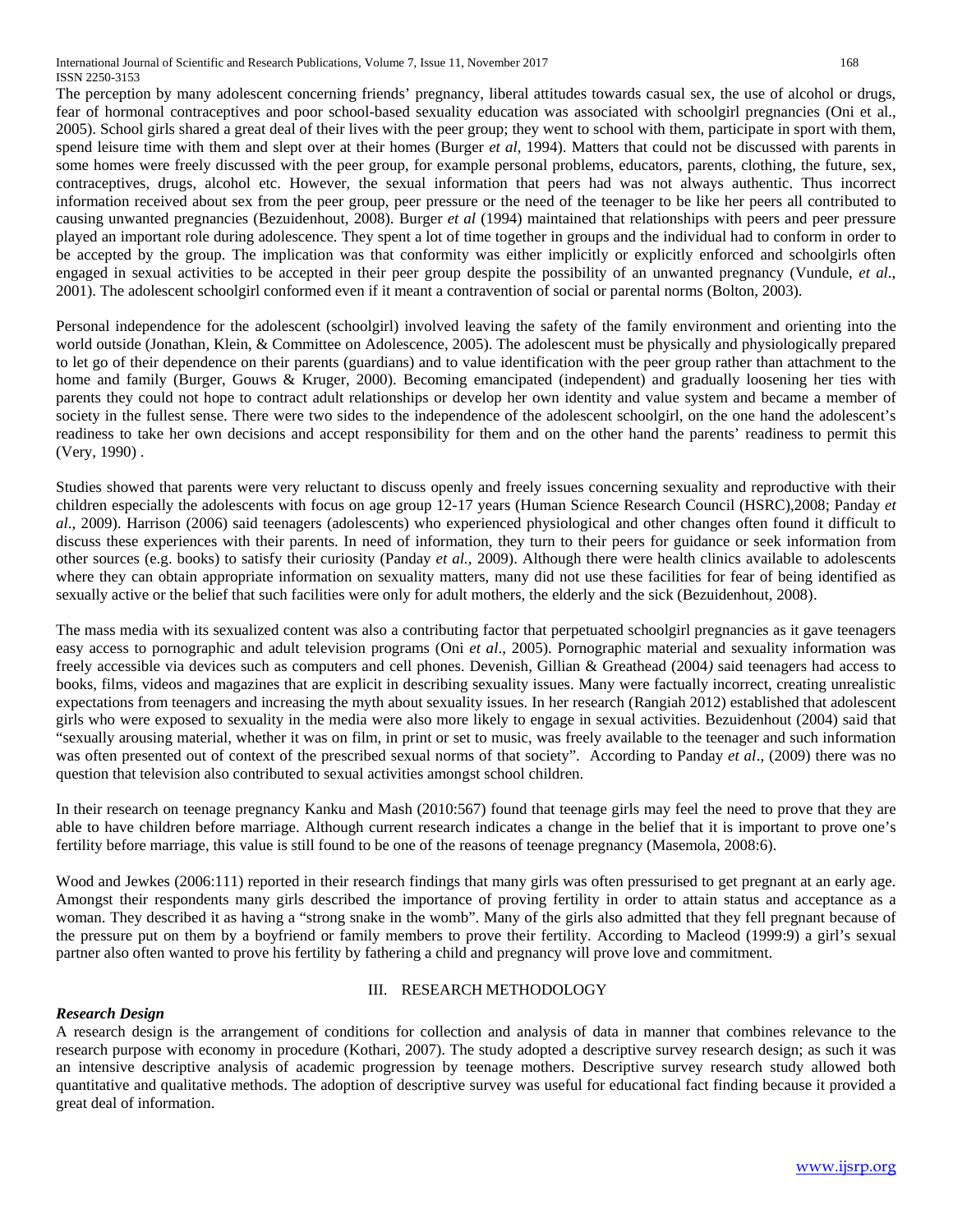The perception by many adolescent concerning friends' pregnancy, liberal attitudes towards casual sex, the use of alcohol or drugs, fear of hormonal contraceptives and poor school-based sexuality education was associated with schoolgirl pregnancies (Oni et al., 2005). School girls shared a great deal of their lives with the peer group; they went to school with them, participate in sport with them, spend leisure time with them and slept over at their homes (Burger *et al*, 1994). Matters that could not be discussed with parents in some homes were freely discussed with the peer group, for example personal problems, educators, parents, clothing, the future, sex, contraceptives, drugs, alcohol etc. However, the sexual information that peers had was not always authentic. Thus incorrect information received about sex from the peer group, peer pressure or the need of the teenager to be like her peers all contributed to causing unwanted pregnancies (Bezuidenhout, 2008). Burger *et al* (1994) maintained that relationships with peers and peer pressure played an important role during adolescence. They spent a lot of time together in groups and the individual had to conform in order to be accepted by the group. The implication was that conformity was either implicitly or explicitly enforced and schoolgirls often engaged in sexual activities to be accepted in their peer group despite the possibility of an unwanted pregnancy (Vundule, *et al*., 2001). The adolescent schoolgirl conformed even if it meant a contravention of social or parental norms (Bolton, 2003).

Personal independence for the adolescent (schoolgirl) involved leaving the safety of the family environment and orienting into the world outside (Jonathan, Klein, & Committee on Adolescence, 2005). The adolescent must be physically and physiologically prepared to let go of their dependence on their parents (guardians) and to value identification with the peer group rather than attachment to the home and family (Burger, Gouws & Kruger, 2000). Becoming emancipated (independent) and gradually loosening her ties with parents they could not hope to contract adult relationships or develop her own identity and value system and became a member of society in the fullest sense. There were two sides to the independence of the adolescent schoolgirl, on the one hand the adolescent's readiness to take her own decisions and accept responsibility for them and on the other hand the parents' readiness to permit this (Very, 1990) .

Studies showed that parents were very reluctant to discuss openly and freely issues concerning sexuality and reproductive with their children especially the adolescents with focus on age group 12-17 years (Human Science Research Council (HSRC),2008; Panday *et al*., 2009). Harrison (2006) said teenagers (adolescents) who experienced physiological and other changes often found it difficult to discuss these experiences with their parents. In need of information, they turn to their peers for guidance or seek information from other sources (e.g. books) to satisfy their curiosity (Panday *et al.,* 2009). Although there were health clinics available to adolescents where they can obtain appropriate information on sexuality matters, many did not use these facilities for fear of being identified as sexually active or the belief that such facilities were only for adult mothers, the elderly and the sick (Bezuidenhout, 2008).

The mass media with its sexualized content was also a contributing factor that perpetuated schoolgirl pregnancies as it gave teenagers easy access to pornographic and adult television programs (Oni *et al*., 2005). Pornographic material and sexuality information was freely accessible via devices such as computers and cell phones. Devenish, Gillian & Greathead (2004*)* said teenagers had access to books, films, videos and magazines that are explicit in describing sexuality issues. Many were factually incorrect, creating unrealistic expectations from teenagers and increasing the myth about sexuality issues. In her research (Rangiah 2012) established that adolescent girls who were exposed to sexuality in the media were also more likely to engage in sexual activities. Bezuidenhout (2004) said that "sexually arousing material, whether it was on film, in print or set to music, was freely available to the teenager and such information was often presented out of context of the prescribed sexual norms of that society". According to Panday *et al*., (2009) there was no question that television also contributed to sexual activities amongst school children.

In their research on teenage pregnancy Kanku and Mash (2010:567) found that teenage girls may feel the need to prove that they are able to have children before marriage. Although current research indicates a change in the belief that it is important to prove one's fertility before marriage, this value is still found to be one of the reasons of teenage pregnancy (Masemola, 2008:6).

Wood and Jewkes (2006:111) reported in their research findings that many girls was often pressurised to get pregnant at an early age. Amongst their respondents many girls described the importance of proving fertility in order to attain status and acceptance as a woman. They described it as having a "strong snake in the womb". Many of the girls also admitted that they fell pregnant because of the pressure put on them by a boyfriend or family members to prove their fertility. According to Macleod (1999:9) a girl's sexual partner also often wanted to prove his fertility by fathering a child and pregnancy will prove love and commitment.

# III. RESEARCH METHODOLOGY

# *Research Design*

A research design is the arrangement of conditions for collection and analysis of data in manner that combines relevance to the research purpose with economy in procedure (Kothari, 2007). The study adopted a descriptive survey research design; as such it was an intensive descriptive analysis of academic progression by teenage mothers. Descriptive survey research study allowed both quantitative and qualitative methods. The adoption of descriptive survey was useful for educational fact finding because it provided a great deal of information.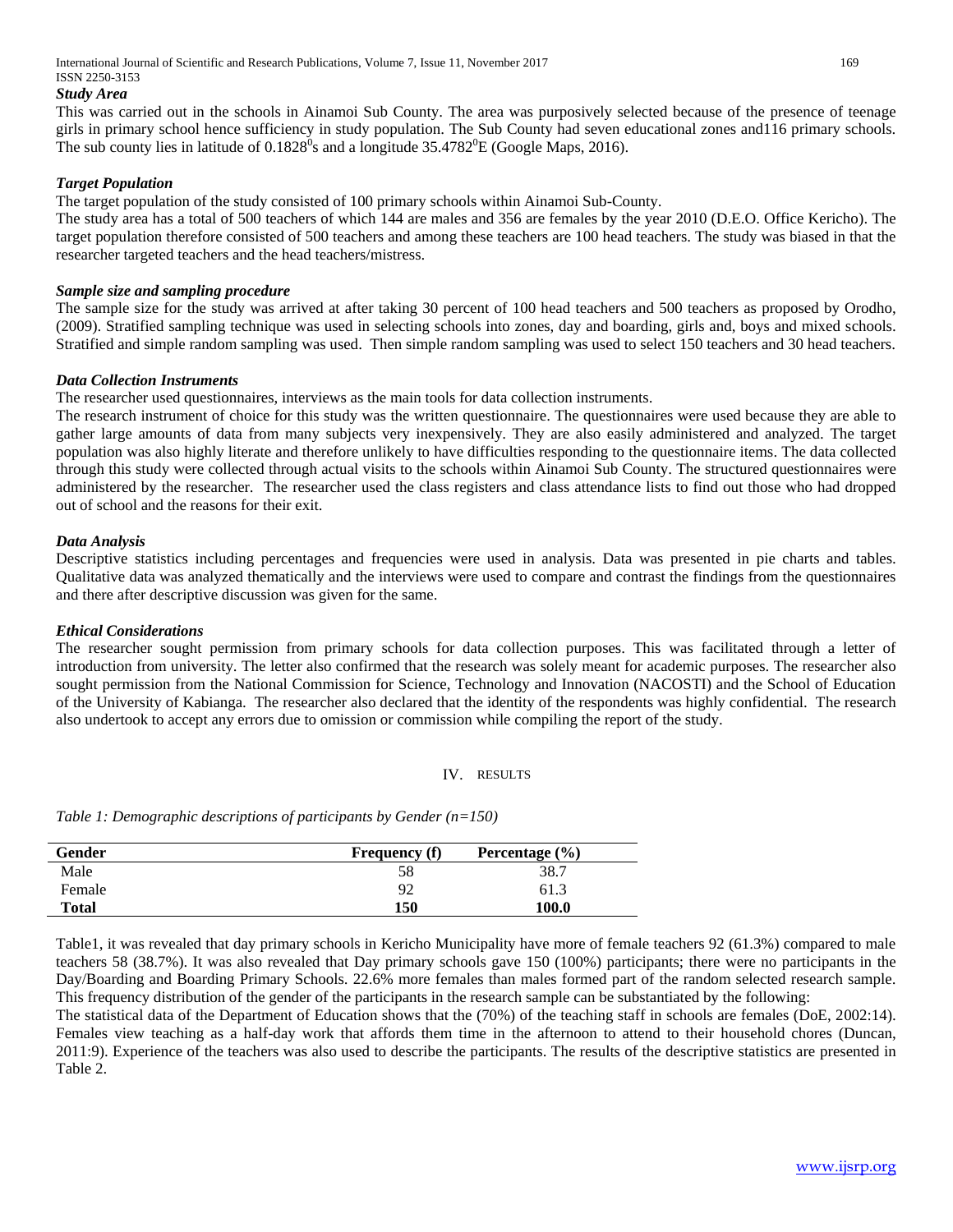International Journal of Scientific and Research Publications, Volume 7, Issue 11, November 2017 169 ISSN 2250-3153

#### *Study Area*

This was carried out in the schools in Ainamoi Sub County. The area was purposively selected because of the presence of teenage girls in primary school hence sufficiency in study population. The Sub County had seven educational zones and116 primary schools. The sub county lies in latitude of  $0.1828^0$ s and a longitude 35.4782 $^0$ E (Google Maps, 2016).

# *Target Population*

The target population of the study consisted of 100 primary schools within Ainamoi Sub-County.

The study area has a total of 500 teachers of which 144 are males and 356 are females by the year 2010 (D.E.O. Office Kericho). The target population therefore consisted of 500 teachers and among these teachers are 100 head teachers. The study was biased in that the researcher targeted teachers and the head teachers/mistress.

## *Sample size and sampling procedure*

The sample size for the study was arrived at after taking 30 percent of 100 head teachers and 500 teachers as proposed by Orodho, (2009). Stratified sampling technique was used in selecting schools into zones, day and boarding, girls and, boys and mixed schools. Stratified and simple random sampling was used. Then simple random sampling was used to select 150 teachers and 30 head teachers.

## *Data Collection Instruments*

The researcher used questionnaires, interviews as the main tools for data collection instruments.

The research instrument of choice for this study was the written questionnaire. The questionnaires were used because they are able to gather large amounts of data from many subjects very inexpensively. They are also easily administered and analyzed. The target population was also highly literate and therefore unlikely to have difficulties responding to the questionnaire items. The data collected through this study were collected through actual visits to the schools within Ainamoi Sub County. The structured questionnaires were administered by the researcher. The researcher used the class registers and class attendance lists to find out those who had dropped out of school and the reasons for their exit.

## *Data Analysis*

Descriptive statistics including percentages and frequencies were used in analysis. Data was presented in pie charts and tables. Qualitative data was analyzed thematically and the interviews were used to compare and contrast the findings from the questionnaires and there after descriptive discussion was given for the same.

# *Ethical Considerations*

The researcher sought permission from primary schools for data collection purposes. This was facilitated through a letter of introduction from university. The letter also confirmed that the research was solely meant for academic purposes. The researcher also sought permission from the National Commission for Science, Technology and Innovation (NACOSTI) and the School of Education of the University of Kabianga. The researcher also declared that the identity of the respondents was highly confidential. The research also undertook to accept any errors due to omission or commission while compiling the report of the study.

#### IV. RESULTS

*Table 1: Demographic descriptions of participants by Gender (n=150)*

| Gender | <b>Frequency</b> (f) | Percentage $(\% )$ |
|--------|----------------------|--------------------|
| Male   | 58                   | 38.7               |
| Female | 92                   | 61.3               |
| Total  | 150                  | 100.0              |

Table1, it was revealed that day primary schools in Kericho Municipality have more of female teachers 92 (61.3%) compared to male teachers 58 (38.7%). It was also revealed that Day primary schools gave 150 (100%) participants; there were no participants in the Day/Boarding and Boarding Primary Schools. 22.6% more females than males formed part of the random selected research sample. This frequency distribution of the gender of the participants in the research sample can be substantiated by the following:

The statistical data of the Department of Education shows that the (70%) of the teaching staff in schools are females (DoE, 2002:14). Females view teaching as a half-day work that affords them time in the afternoon to attend to their household chores (Duncan, 2011:9). Experience of the teachers was also used to describe the participants. The results of the descriptive statistics are presented in Table 2.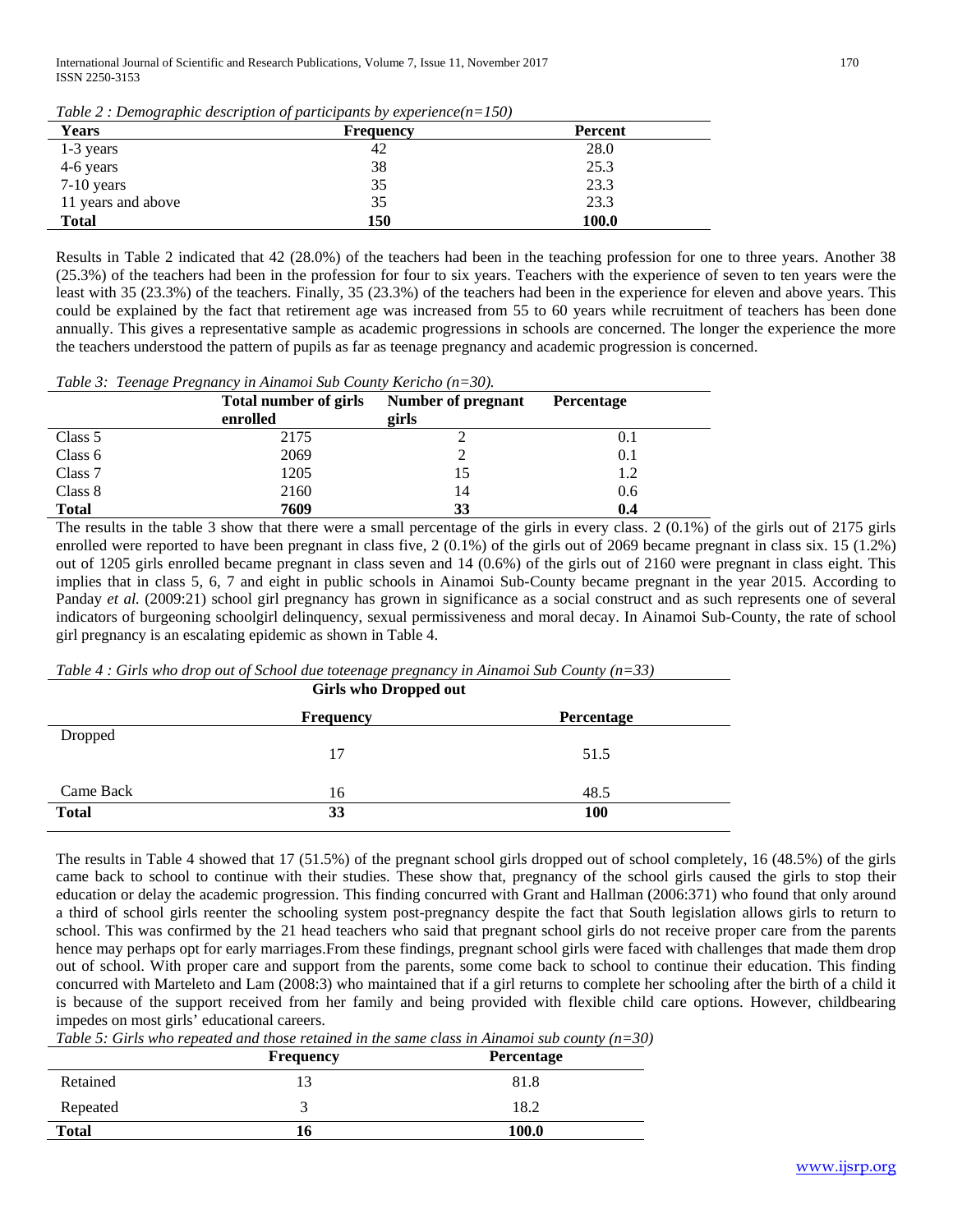International Journal of Scientific and Research Publications, Volume 7, Issue 11, November 2017 170 ISSN 2250-3153

*Table 2 : Demographic description of participants by experience(n=150)*

| <b>Years</b>       | <b>Frequency</b> | <b>Percent</b> |
|--------------------|------------------|----------------|
| $1-3$ years        | 42               | 28.0           |
| 4-6 years          | 38               | 25.3           |
| 7-10 years         | 35               | 23.3           |
| 11 years and above | 35               | 23.3           |
| <b>Total</b>       | 150              | 100.0          |

Results in Table 2 indicated that 42 (28.0%) of the teachers had been in the teaching profession for one to three years. Another 38 (25.3%) of the teachers had been in the profession for four to six years. Teachers with the experience of seven to ten years were the least with 35 (23.3%) of the teachers. Finally, 35 (23.3%) of the teachers had been in the experience for eleven and above years. This could be explained by the fact that retirement age was increased from 55 to 60 years while recruitment of teachers has been done annually. This gives a representative sample as academic progressions in schools are concerned. The longer the experience the more the teachers understood the pattern of pupils as far as teenage pregnancy and academic progression is concerned.

*Table 3: Teenage Pregnancy in Ainamoi Sub County Kericho (n=30).*

|              | <b>Total number of girls</b><br>enrolled | Number of pregnant<br>girls | <b>Percentage</b> |
|--------------|------------------------------------------|-----------------------------|-------------------|
| Class 5      | 2175                                     |                             | 0.1               |
| Class 6      | 2069                                     |                             | 0.1               |
| Class 7      | 1205                                     |                             | 1.2               |
| Class 8      | 2160                                     | 14                          | 0.6               |
| <b>Total</b> | 7609                                     | 33                          | 0.4               |

The results in the table 3 show that there were a small percentage of the girls in every class. 2 (0.1%) of the girls out of 2175 girls enrolled were reported to have been pregnant in class five, 2 (0.1%) of the girls out of 2069 became pregnant in class six. 15 (1.2%) out of 1205 girls enrolled became pregnant in class seven and 14 (0.6%) of the girls out of 2160 were pregnant in class eight. This implies that in class 5, 6, 7 and eight in public schools in Ainamoi Sub-County became pregnant in the year 2015. According to Panday *et al.* (2009:21) school girl pregnancy has grown in significance as a social construct and as such represents one of several indicators of burgeoning schoolgirl delinquency, sexual permissiveness and moral decay. In Ainamoi Sub-County, the rate of school girl pregnancy is an escalating epidemic as shown in Table 4.

*Table 4 : Girls who drop out of School due toteenage pregnancy in Ainamoi Sub County (n=33)* **Girls who Dropped out**

| GILIS WHO DI OPPEU OUL |                  |            |  |
|------------------------|------------------|------------|--|
|                        | <b>Frequency</b> | Percentage |  |
| Dropped                |                  |            |  |
|                        | 17               | 51.5       |  |
| Came Back              | 16               | 48.5       |  |
| <b>Total</b>           | 33               | <b>100</b> |  |

The results in Table 4 showed that 17 (51.5%) of the pregnant school girls dropped out of school completely, 16 (48.5%) of the girls came back to school to continue with their studies. These show that, pregnancy of the school girls caused the girls to stop their education or delay the academic progression. This finding concurred with Grant and Hallman (2006:371) who found that only around a third of school girls reenter the schooling system post-pregnancy despite the fact that South legislation allows girls to return to school. This was confirmed by the 21 head teachers who said that pregnant school girls do not receive proper care from the parents hence may perhaps opt for early marriages.From these findings, pregnant school girls were faced with challenges that made them drop out of school. With proper care and support from the parents, some come back to school to continue their education. This finding concurred with Marteleto and Lam (2008:3) who maintained that if a girl returns to complete her schooling after the birth of a child it is because of the support received from her family and being provided with flexible child care options. However, childbearing impedes on most girls' educational careers.

*Table 5: Girls who repeated and those retained in the same class in Ainamoi sub county (n=30)*

|              | <b>Frequency</b> | Percentage |
|--------------|------------------|------------|
| Retained     | l 3              | 81.8       |
| Repeated     |                  | 18.2       |
| <b>Total</b> | 16               | 100.0      |